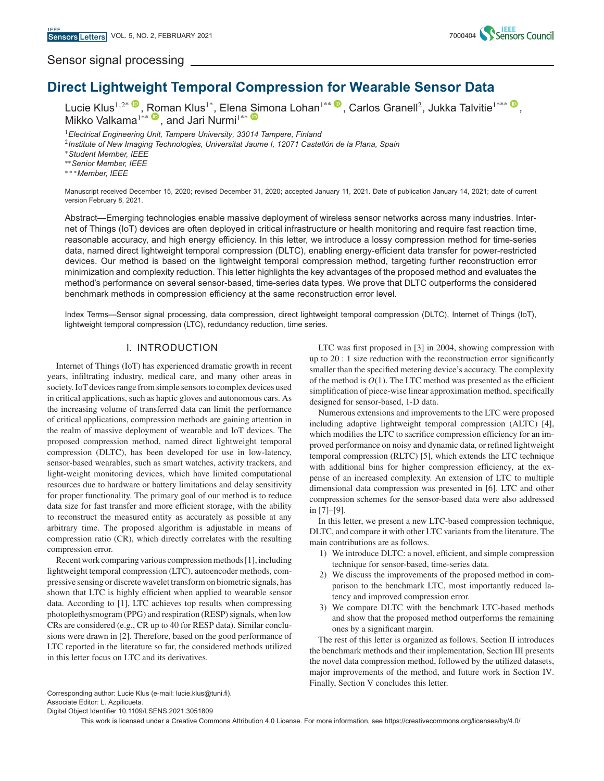# Sensor signal processing



**Direct Light[we](https://orcid.org/0000-0003-0354-9421)ight Temporal Compression f[or](https://orcid.org/0000-0003-1718-6924) Wearable Sensor Data** Lucie Klus<sup>1,2\* ©</sup>, [Rom](https://orcid.org/0000-0003-0361-0800)an Klus<sup>1\*</sup>, Elena [Sim](https://orcid.org/0000-0003-2169-4606)ona Lohan<sup>1\*\* ©</sup>[,](https://orcid.org/0000-0001-7685-7666) Carlos Granell<sup>2</sup>, Jukka Talvitie<sup>1\*\*\* ©</sup>, Mikko Valkama<sup>1\*\*</sup> , and Jari Nurmi<sup>1\*\*</sup>

<sup>1</sup>*Electrical Engineering Unit, Tampere University, 33014 Tampere, Finland*

<sup>2</sup>*Institute of New Imaging Technologies, Universitat Jaume I, 12071 Castellón de la Plana, Spain*

∗*Student Member, IEEE*

∗∗*Senior Member, IEEE*

∗∗∗*Member, IEEE*

Manuscript received December 15, 2020; revised December 31, 2020; accepted January 11, 2021. Date of publication January 14, 2021; date of current version February 8, 2021.

Abstract—Emerging technologies enable massive deployment of wireless sensor networks across many industries. Internet of Things (IoT) devices are often deployed in critical infrastructure or health monitoring and require fast reaction time, reasonable accuracy, and high energy efficiency. In this letter, we introduce a lossy compression method for time-series data, named direct lightweight temporal compression (DLTC), enabling energy-efficient data transfer for power-restricted devices. Our method is based on the lightweight temporal compression method, targeting further reconstruction error minimization and complexity reduction. This letter highlights the key advantages of the proposed method and evaluates the method's performance on several sensor-based, time-series data types. We prove that DLTC outperforms the considered benchmark methods in compression efficiency at the same reconstruction error level.

Index Terms—Sensor signal processing, data compression, direct lightweight temporal compression (DLTC), Internet of Things (IoT), lightweight temporal compression (LTC), redundancy reduction, time series.

#### I. INTRODUCTION

Internet of Things (IoT) has experienced dramatic growth in recent years, infiltrating industry, medical care, and many other areas in society. IoT devices range from simple sensors to complex devices used in critical applications, such as haptic gloves and autonomous cars. As the increasing volume of transferred data can limit the performance of critical applications, compression methods are gaining attention in the realm of massive deployment of wearable and IoT devices. The proposed compression method, named direct lightweight temporal compression (DLTC), has been developed for use in low-latency, sensor-based wearables, such as smart watches, activity trackers, and light-weight monitoring devices, which have limited computational resources due to hardware or battery limitations and delay sensitivity for proper functionality. The primary goal of our method is to reduce data size for fast transfer and more efficient storage, with the ability to reconstruct the measured entity as accurately as possible at any arbitrary time. The proposed algorithm is adjustable in means of compression ratio (CR), which directly correlates with the resulting compression error.

Recent work comparing various compression methods [1], including lightweight temporal compression (LTC), autoencoder methods, compressive sensing or discrete wavelet transform on biometric signals, has shown that LTC is highly efficient when applied to wearable sensor data. According to [1], LTC achieves top results when compressing photoplethysmogram (PPG) and respiration (RESP) signals, when low CRs are considered (e.g., CR up to 40 for RESP data). Similar conclusions were drawn in [2]. Therefore, based on the good performance of LTC reported in the literature so far, the considered methods utilized in this letter focus on LTC and its derivatives.

LTC was first proposed in [3] in 2004, showing compression with up to 20 : 1 size reduction with the reconstruction error significantly smaller than the specified metering device's accuracy. The complexity of the method is  $O(1)$ . The LTC method was presented as the efficient simplification of piece-wise linear approximation method, specifically designed for sensor-based, 1-D data.

Numerous extensions and improvements to the LTC were proposed including adaptive lightweight temporal compression (ALTC) [4], which modifies the LTC to sacrifice compression efficiency for an improved performance on noisy and dynamic data, or refined lightweight temporal compression (RLTC) [5], which extends the LTC technique with additional bins for higher compression efficiency, at the expense of an increased complexity. An extension of LTC to multiple dimensional data compression was presented in [6]. LTC and other compression schemes for the sensor-based data were also addressed in [7]–[9].

In this letter, we present a new LTC-based compression technique, DLTC, and compare it with other LTC variants from the literature. The main contributions are as follows.

- 1) We introduce DLTC: a novel, efficient, and simple compression technique for sensor-based, time-series data.
- 2) We discuss the improvements of the proposed method in comparison to the benchmark LTC, most importantly reduced latency and improved compression error.
- 3) We compare DLTC with the benchmark LTC-based methods and show that the proposed method outperforms the remaining ones by a significant margin.

The rest of this letter is organized as follows. Section II introduces the benchmark methods and their implementation, Section III presents the novel data compression method, followed by the utilized datasets, major improvements of the method, and future work in Section IV. Finally, Section V concludes this letter.

Corresponding author: Lucie Klus (e-mail: lucie.klus@tuni.fi). Associate Editor: L. Azpilicueta.

Digital Object Identifier 10.1109/LSENS.2021.3051809

This work is licensed under a Creative Commons Attribution 4.0 License. For more information, see https://creativecommons.org/licenses/by/4.0/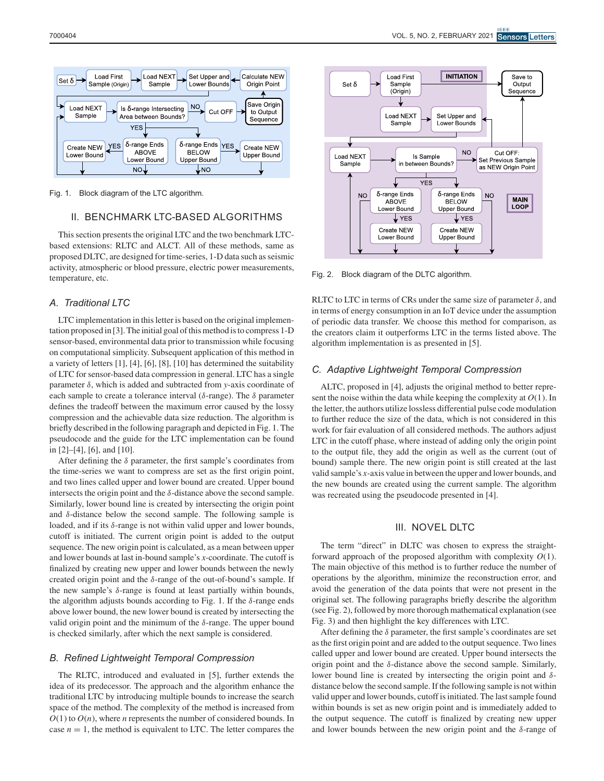

Fig. 1. Block diagram of the LTC algorithm.

## II. BENCHMARK LTC-BASED ALGORITHMS

This section presents the original LTC and the two benchmark LTCbased extensions: RLTC and ALCT. All of these methods, same as proposed DLTC, are designed for time-series, 1-D data such as seismic activity, atmospheric or blood pressure, electric power measurements, temperature, etc.

## *A. Traditional LTC*

LTC implementation in this letter is based on the original implementation proposed in [3]. The initial goal of this method is to compress 1-D sensor-based, environmental data prior to transmission while focusing on computational simplicity. Subsequent application of this method in a variety of letters [1], [4], [6], [8], [10] has determined the suitability of LTC for sensor-based data compression in general. LTC has a single parameter δ, which is added and subtracted from *y*-axis coordinate of each sample to create a tolerance interval ( $\delta$ -range). The  $\delta$  parameter defines the tradeoff between the maximum error caused by the lossy compression and the achievable data size reduction. The algorithm is briefly described in the following paragraph and depicted in Fig. 1. The pseudocode and the guide for the LTC implementation can be found in [2]–[4], [6], and [10].

After defining the  $\delta$  parameter, the first sample's coordinates from the time-series we want to compress are set as the first origin point, and two lines called upper and lower bound are created. Upper bound intersects the origin point and the  $\delta$ -distance above the second sample. Similarly, lower bound line is created by intersecting the origin point and  $\delta$ -distance below the second sample. The following sample is loaded, and if its δ-range is not within valid upper and lower bounds, cutoff is initiated. The current origin point is added to the output sequence. The new origin point is calculated, as a mean between upper and lower bounds at last in-bound sample's *x*-coordinate. The cutoff is finalized by creating new upper and lower bounds between the newly created origin point and the  $\delta$ -range of the out-of-bound's sample. If the new sample's  $δ$ -range is found at least partially within bounds, the algorithm adjusts bounds according to Fig. 1. If the  $\delta$ -range ends above lower bound, the new lower bound is created by intersecting the valid origin point and the minimum of the  $\delta$ -range. The upper bound is checked similarly, after which the next sample is considered.

#### *B. Refined Lightweight Temporal Compression*

The RLTC, introduced and evaluated in [5], further extends the idea of its predecessor. The approach and the algorithm enhance the traditional LTC by introducing multiple bounds to increase the search space of the method. The complexity of the method is increased from  $O(1)$  to  $O(n)$ , where *n* represents the number of considered bounds. In case  $n = 1$ , the method is equivalent to LTC. The letter compares the



Fig. 2. Block diagram of the DLTC algorithm.

RLTC to LTC in terms of CRs under the same size of parameter  $\delta$ , and in terms of energy consumption in an IoT device under the assumption of periodic data transfer. We choose this method for comparison, as the creators claim it outperforms LTC in the terms listed above. The algorithm implementation is as presented in [5].

#### *C. Adaptive Lightweight Temporal Compression*

ALTC, proposed in [4], adjusts the original method to better represent the noise within the data while keeping the complexity at *O*(1). In the letter, the authors utilize lossless differential pulse code modulation to further reduce the size of the data, which is not considered in this work for fair evaluation of all considered methods. The authors adjust LTC in the cutoff phase, where instead of adding only the origin point to the output file, they add the origin as well as the current (out of bound) sample there. The new origin point is still created at the last valid sample's *x*-axis value in between the upper and lower bounds, and the new bounds are created using the current sample. The algorithm was recreated using the pseudocode presented in [4].

## III. NOVEL DLTC

The term "direct" in DLTC was chosen to express the straightforward approach of the proposed algorithm with complexity *O*(1). The main objective of this method is to further reduce the number of operations by the algorithm, minimize the reconstruction error, and avoid the generation of the data points that were not present in the original set. The following paragraphs briefly describe the algorithm (see Fig. 2), followed by more thorough mathematical explanation (see Fig. 3) and then highlight the key differences with LTC.

After defining the  $\delta$  parameter, the first sample's coordinates are set as the first origin point and are added to the output sequence. Two lines called upper and lower bound are created. Upper bound intersects the origin point and the  $\delta$ -distance above the second sample. Similarly, lower bound line is created by intersecting the origin point and  $\delta$ distance below the second sample. If the following sample is not within valid upper and lower bounds, cutoff is initiated. The last sample found within bounds is set as new origin point and is immediately added to the output sequence. The cutoff is finalized by creating new upper and lower bounds between the new origin point and the  $\delta$ -range of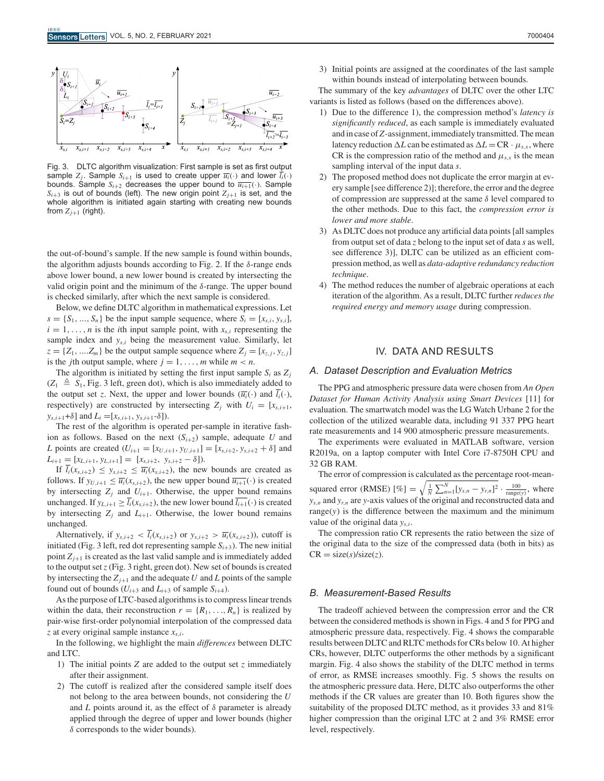

Fig. 3. DLTC algorithm visualization: First sample is set as first output sample  $Z_j$ . Sample  $S_{i+1}$  is used to create upper  $\overline{u_i}(\cdot)$  and lower  $l_i(\cdot)$ bounds. Sample  $S_{i+2}$  decreases the upper bound to  $\overline{u_{i+1}}(\cdot)$ . Sample  $S_{i+3}$  is out of bounds (left). The new origin point  $Z_{j+1}$  is set, and the whole algorithm is initiated again starting with creating new bounds from  $Z_{j+1}$  (right).

the out-of-bound's sample. If the new sample is found within bounds, the algorithm adjusts bounds according to Fig. 2. If the  $\delta$ -range ends above lower bound, a new lower bound is created by intersecting the valid origin point and the minimum of the  $\delta$ -range. The upper bound is checked similarly, after which the next sample is considered.

Below, we define DLTC algorithm in mathematical expressions. Let  $s = \{S_1, \ldots, S_n\}$  be the input sample sequence, where  $S_i = [x_{s,i}, y_{s,i}],$  $i = 1, \ldots, n$  is the *i*th input sample point, with  $x_{s,i}$  representing the sample index and  $y_{s,i}$  being the measurement value. Similarly, let  $z = \{Z_1, \ldots, Z_m\}$  be the output sample sequence where  $Z_i = [x_{z,i}, y_{z,i}]$ is the *j*th output sample, where  $j = 1, \ldots, m$  while  $m < n$ .

The algorithm is initiated by setting the first input sample  $S_i$  as  $Z_j$  $(Z_1 \triangleq S_1,$  Fig. 3 left, green dot), which is also immediately added to the output set *z*. Next, the upper and lower bounds  $(\overline{u_i}(\cdot)$  and  $\overline{l_i}(\cdot)$ , respectively) are constructed by intersecting  $Z_i$  with  $U_i = [x_{s,i+1},$  $y_{s,i+1} + \delta$  and  $L_i = [x_{s,i+1}, y_{s,i+1} - \delta]$ .

The rest of the algorithm is operated per-sample in iterative fashion as follows. Based on the next  $(S_{i+2})$  sample, adequate *U* and *L* points are created  $(U_{i+1} = [x_{U,i+1}, y_{U,i+1}] = [x_{s,i+2}, y_{s,i+2} + \delta]$  and  $L_{i+1} = [x_{L,i+1}, y_{L,i+1}] = [x_{s,i+2}, y_{s,i+2} - \delta]).$ 

If  $\overline{l_i}(x_{s,i+2}) \leq y_{s,i+2} \leq \overline{u_i}(x_{s,i+2})$ , the new bounds are created as follows. If  $y_{U,i+1} \leq \overline{u_i}(x_{s,i+2})$ , the new upper bound  $\overline{u_{i+1}}(\cdot)$  is created by intersecting  $Z_j$  and  $U_{i+1}$ . Otherwise, the upper bound remains unchanged. If  $y_{L,i+1} \geq \overline{l_i}(x_{s,i+2})$ , the new lower bound  $\overline{l_{i+1}}(\cdot)$  is created by intersecting  $Z_i$  and  $L_{i+1}$ . Otherwise, the lower bound remains unchanged.

Alternatively, if  $y_{s,i+2} < \overline{l_i}(x_{s,i+2})$  or  $y_{s,i+2} > \overline{u_i}(x_{s,i+2})$ , cutoff is initiated (Fig. 3 left, red dot representing sample  $S_{i+3}$ ). The new initial point  $Z_{i+1}$  is created as the last valid sample and is immediately added to the output set*z* (Fig. 3 right, green dot). New set of bounds is created by intersecting the  $Z_{j+1}$  and the adequate *U* and *L* points of the sample found out of bounds  $(U_{i+3}$  and  $L_{i+3}$  of sample  $S_{i+4}$ ).

As the purpose of LTC-based algorithms is to compress linear trends within the data, their reconstruction  $r = \{R_1, \ldots, R_n\}$  is realized by pair-wise first-order polynomial interpolation of the compressed data *z* at every original sample instance *xs*,*<sup>i</sup>*.

In the following, we highlight the main *differences* between DLTC and LTC.

- 1) The initial points *Z* are added to the output set *z* immediately after their assignment.
- 2) The cutoff is realized after the considered sample itself does not belong to the area between bounds, not considering the *U* and *L* points around it, as the effect of  $\delta$  parameter is already applied through the degree of upper and lower bounds (higher  $\delta$  corresponds to the wider bounds).

3) Initial points are assigned at the coordinates of the last sample within bounds instead of interpolating between bounds.

The summary of the key *advantages* of DLTC over the other LTC variants is listed as follows (based on the differences above).

- 1) Due to the difference 1), the compression method's *latency is significantly reduced*, as each sample is immediately evaluated and in case of *Z*-assignment, immediately transmitted. The mean latency reduction  $\Delta L$  can be estimated as  $\Delta L = \text{CR} \cdot \mu_{s,x}$ , where CR is the compression ratio of the method and  $\mu_{s,x}$  is the mean sampling interval of the input data *s*.
- 2) The proposed method does not duplicate the error margin at every sample [see difference 2)]; therefore, the error and the degree of compression are suppressed at the same  $\delta$  level compared to the other methods. Due to this fact, the *compression error is lower and more stable*.
- 3) As DLTC does not produce any artificial data points [all samples from output set of data *z* belong to the input set of data *s* as well, see difference 3)], DLTC can be utilized as an efficient compression method, as well as *data-adaptive redundancy reduction technique*.
- 4) The method reduces the number of algebraic operations at each iteration of the algorithm. As a result, DLTC further *reduces the required energy and memory usage* during compression.

## IV. DATA AND RESULTS

#### *A. Dataset Description and Evaluation Metrics*

The PPG and atmospheric pressure data were chosen from *An Open Dataset for Human Activity Analysis using Smart Devices* [11] for evaluation. The smartwatch model was the LG Watch Urbane 2 for the collection of the utilized wearable data, including 91 337 PPG heart rate measurements and 14 900 atmospheric pressure measurements.

The experiments were evaluated in MATLAB software, version R2019a, on a laptop computer with Intel Core i7-8750H CPU and 32 GB RAM.

The error of compression is calculated as the percentage root-meansquared error (RMSE)  $[\%] = \sqrt{\frac{1}{N} \sum_{n=1}^{N} [y_{s,n} - y_{r,n}]^2} \cdot \frac{100}{\text{range}(y)}$ , where *ys*,*<sup>n</sup>* and *yr*,*<sup>n</sup>* are *y*-axis values of the original and reconstructed data and range(*y*) is the difference between the maximum and the minimum value of the original data *ys*,*<sup>i</sup>*.

The compression ratio CR represents the ratio between the size of the original data to the size of the compressed data (both in bits) as  $CR = size(s)/size(z)$ .

#### *B. Measurement-Based Results*

The tradeoff achieved between the compression error and the CR between the considered methods is shown in Figs. 4 and 5 for PPG and atmospheric pressure data, respectively. Fig. 4 shows the comparable results between DLTC and RLTC methods for CRs below 10. At higher CRs, however, DLTC outperforms the other methods by a significant margin. Fig. 4 also shows the stability of the DLTC method in terms of error, as RMSE increases smoothly. Fig. 5 shows the results on the atmospheric pressure data. Here, DLTC also outperforms the other methods if the CR values are greater than 10. Both figures show the suitability of the proposed DLTC method, as it provides 33 and 81% higher compression than the original LTC at 2 and 3% RMSE error level, respectively.